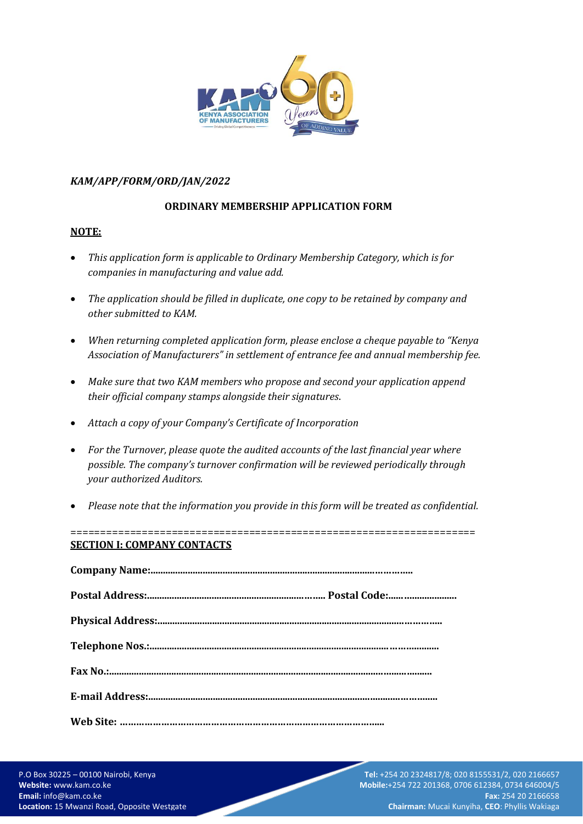

## *KAM/APP/FORM/ORD/JAN/2022*

# **ORDINARY MEMBERSHIP APPLICATION FORM**

## **NOTE:**

- *This application form is applicable to Ordinary Membership Category, which is for companies in manufacturing and value add.*
- *The application should be filled in duplicate, one copy to be retained by company and other submitted to KAM.*
- *When returning completed application form, please enclose a cheque payable to "Kenya Association of Manufacturers" in settlement of entrance fee and annual membership fee.*
- *Make sure that two KAM members who propose and second your application append their official company stamps alongside their signatures*.
- *Attach a copy of your Company's Certificate of Incorporation*
- *For the Turnover, please quote the audited accounts of the last financial year where possible. The company's turnover confirmation will be reviewed periodically through your authorized Auditors.*
- *Please note that the information you provide in this form will be treated as confidential.*

====================================================================

# **SECTION I: COMPANY CONTACTS**

Westlands, Nairobi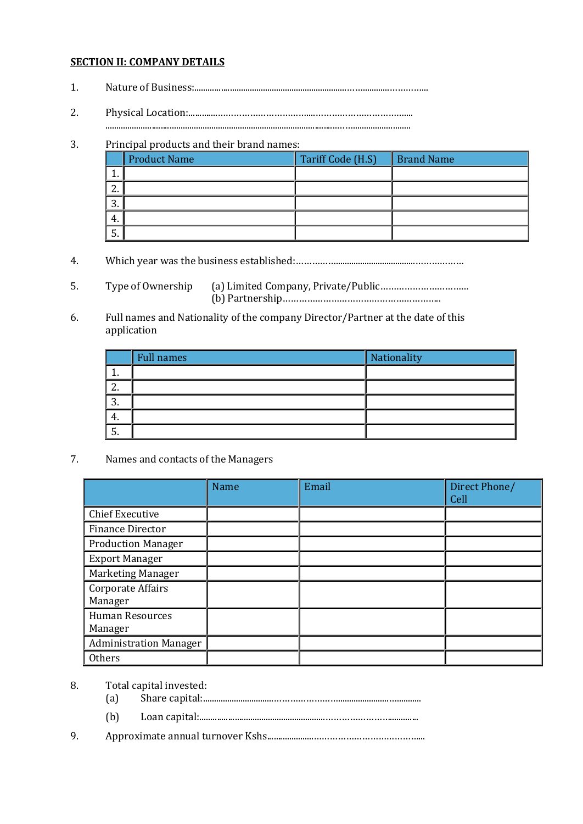## **SECTION II: COMPANY DETAILS**

- 1. Nature of Business:.....................................................................……............…………...
- 2. Physical Location:.............……………………………....……………………………....
	- .........................................................................................................……..........................

# 3. Principal products and their brand names:

|               | <b>Product Name</b> | Tariff Code (H.S) | <b>Brand Name</b> |
|---------------|---------------------|-------------------|-------------------|
|               |                     |                   |                   |
| ◠<br><u>.</u> |                     |                   |                   |
| ◠<br>.ບ.      |                     |                   |                   |
| 4.            |                     |                   |                   |
| C.            |                     |                   |                   |

- 4. Which year was the business established:……………....................................………………
- 5. Type of Ownership (a) Limited Company, Private/Public…………………………… (b) Partnership…………………………………………………..
- 6. Full names and Nationality of the company Director/Partner at the date of this application

|               | <b>Full names</b> | Nationality |
|---------------|-------------------|-------------|
| . .           |                   |             |
| n<br><u>.</u> |                   |             |
| ာ<br>.ა       |                   |             |
| 4.            |                   |             |
| -<br>o.       |                   |             |

7. Names and contacts of the Managers

|                                   | Name | Email | Direct Phone/<br>Cell |
|-----------------------------------|------|-------|-----------------------|
| <b>Chief Executive</b>            |      |       |                       |
| <b>Finance Director</b>           |      |       |                       |
| <b>Production Manager</b>         |      |       |                       |
| <b>Export Manager</b>             |      |       |                       |
| Marketing Manager                 |      |       |                       |
| Corporate Affairs<br>Manager      |      |       |                       |
| <b>Human Resources</b><br>Manager |      |       |                       |
| <b>Administration Manager</b>     |      |       |                       |
| Others                            |      |       |                       |

- 8. Total capital invested:
	- (a) Share capital:................................…………………….......................…...........
	- (b) Loan capital:.........................................................…………………….............
- 9. Approximate annual turnover Kshs.....................…………………………………...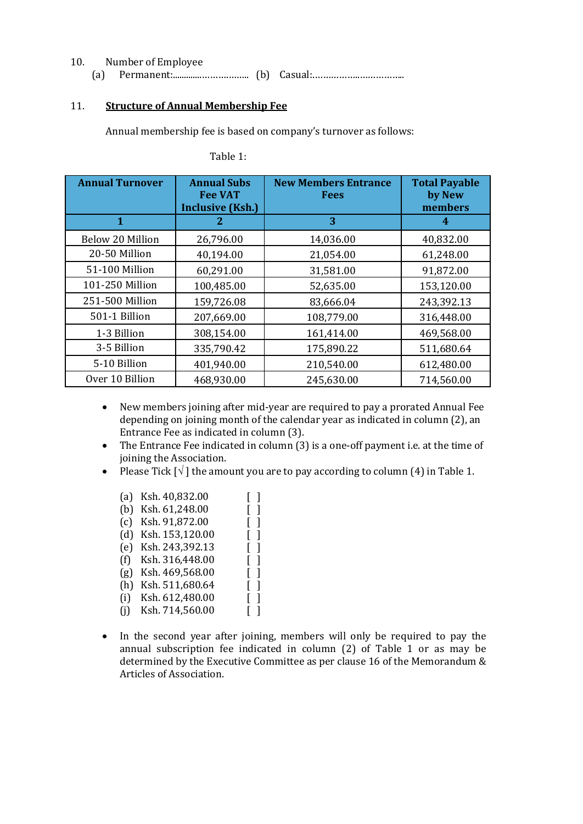| 10 | Number of Employee |  |  |
|----|--------------------|--|--|
|    |                    |  |  |

## 11. **Structure of Annual Membership Fee**

Annual membership fee is based on company's turnover as follows:

| <b>Annual Turnover</b> | <b>Annual Subs</b><br><b>Fee VAT</b> | <b>New Members Entrance</b><br><b>Fees</b> | <b>Total Payable</b><br>by New |
|------------------------|--------------------------------------|--------------------------------------------|--------------------------------|
|                        | <b>Inclusive (Ksh.)</b>              |                                            | members                        |
| 1                      | 2                                    | 3                                          | 4                              |
| Below 20 Million       | 26,796.00                            | 14,036.00                                  | 40,832.00                      |
| 20-50 Million          | 40,194.00                            | 21,054.00                                  | 61,248.00                      |
| 51-100 Million         | 60,291.00                            | 31,581.00                                  | 91,872.00                      |
| 101-250 Million        | 100,485.00                           | 52,635.00                                  | 153,120.00                     |
| 251-500 Million        | 159,726.08                           | 83,666.04                                  | 243,392.13                     |
| 501-1 Billion          | 207,669.00                           | 108,779.00                                 | 316,448.00                     |
| 1-3 Billion            | 308,154.00                           | 161,414.00                                 | 469,568.00                     |
| 3-5 Billion            | 335,790.42                           | 175,890.22                                 | 511,680.64                     |
| 5-10 Billion           | 401,940.00                           | 210,540.00                                 | 612,480.00                     |
| Over 10 Billion        | 468,930.00                           | 245,630.00                                 | 714,560.00                     |

Table 1:

- New members joining after mid-year are required to pay a prorated Annual Fee depending on joining month of the calendar year as indicated in column (2), an Entrance Fee as indicated in column (3).
- The Entrance Fee indicated in column (3) is a one-off payment i.e. at the time of joining the Association.
- Please Tick  $\lceil \sqrt{\cdot} \rceil$  the amount you are to pay according to column (4) in Table 1.

| (a) | Ksh. 40,832.00  |                               |                                       |
|-----|-----------------|-------------------------------|---------------------------------------|
| (b) | Ksh. 61,248.00  |                               | $\overline{\phantom{a}}$              |
| (c) | Ksh. 91,872.00  |                               |                                       |
| (d) | Ksh. 153,120.00 | $\overline{\phantom{a}}$<br>L |                                       |
| (e) | Ksh. 243,392.13 |                               | $\overline{\phantom{a}}$              |
| (f) | Ksh. 316,448.00 | $\Box$<br>L                   |                                       |
| (g) | Ksh. 469,568.00 |                               | $\begin{array}{c} \end{array}$        |
| (h) | Ksh. 511,680.64 | L                             | $\overline{\phantom{a}}$              |
| (i) | Ksh. 612,480.00 |                               |                                       |
| (i) | Ksh. 714,560.00 | L                             | $\begin{array}{c} \hline \end{array}$ |
|     |                 |                               |                                       |

• In the second year after joining, members will only be required to pay the annual subscription fee indicated in column (2) of Table 1 or as may be determined by the Executive Committee as per clause 16 of the Memorandum & Articles of Association.